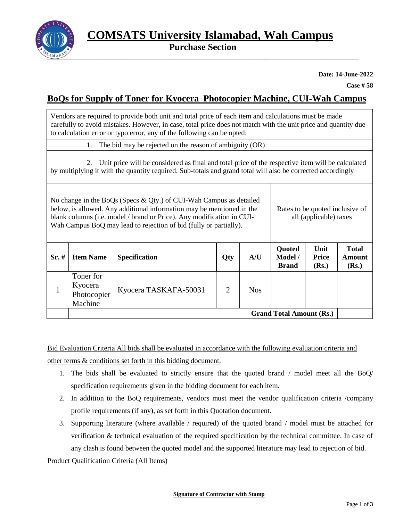

 **Purchase Section**

**Date: 14-June-2022**

**Case # 58**

# **BoQs for Supply of Toner for Kyocera Photocopier Machine, CUI-Wah Campus**

Vendors are required to provide both unit and total price of each item and calculations must be made carefully to avoid mistakes. However, in case, total price does not match with the unit price and quantity due to calculation error or typo error, any of the following can be opted:

1. The bid may be rejected on the reason of ambiguity (OR)

2. Unit price will be considered as final and total price of the respective item will be calculated by multiplying it with the quantity required. Sub-totals and grand total will also be corrected accordingly

No change in the BoQs (Specs & Qty.) of CUI-Wah Campus as detailed below, is allowed. Any additional information may be mentioned in the blank columns (i.e. model / brand or Price). Any modification in CUI-Wah Campus BoQ may lead to rejection of bid (fully or partially). Rates to be quoted inclusive of all (applicable) taxes

| $Sr.$ # | <b>Item Name</b>                               | <b>Specification</b>  | Qty | A/U        | Quoted<br>Model /<br><b>Brand</b> | Unit<br><b>Price</b><br>(Rs.) | <b>Total</b><br>Amount<br>(Rs.) |
|---------|------------------------------------------------|-----------------------|-----|------------|-----------------------------------|-------------------------------|---------------------------------|
|         | Toner for<br>Kyocera<br>Photocopier<br>Machine | Kyocera TASKAFA-50031 | 2   | <b>Nos</b> |                                   |                               |                                 |
|         | <b>Grand Total Amount (Rs.)</b>                |                       |     |            |                                   |                               |                                 |

Bid Evaluation Criteria All bids shall be evaluated in accordance with the following evaluation criteria and other terms & conditions set forth in this bidding document.

- 1. The bids shall be evaluated to strictly ensure that the quoted brand / model meet all the BoQ/ specification requirements given in the bidding document for each item.
- 2. In addition to the BoQ requirements, vendors must meet the vendor qualification criteria /company profile requirements (if any), as set forth in this Quotation document.
- 3. Supporting literature (where available / required) of the quoted brand / model must be attached for verification & technical evaluation of the required specification by the technical committee. In case of any clash is found between the quoted model and the supported literature may lead to rejection of bid.

Product Qualification Criteria (All Items)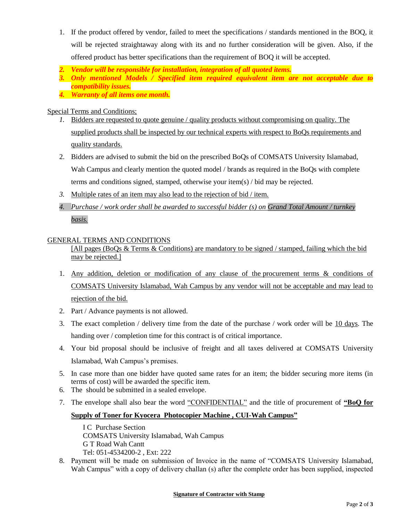- 1. If the product offered by vendor, failed to meet the specifications / standards mentioned in the BOQ, it will be rejected straightaway along with its and no further consideration will be given. Also, if the offered product has better specifications than the requirement of BOQ it will be accepted.
- *2. Vendor will be responsible for installation, integration of all quoted items.*
- *3. Only mentioned Models / Specified item required equivalent item are not acceptable due to compatibility issues.*
- *4. Warranty of all items one month.*

### Special Terms and Conditions;

- *1.* Bidders are requested to quote genuine / quality products without compromising on quality. The supplied products shall be inspected by our technical experts with respect to BoQs requirements and quality standards.
- 2. Bidders are advised to submit the bid on the prescribed BoQs of COMSATS University Islamabad, Wah Campus and clearly mention the quoted model / brands as required in the BoQs with complete terms and conditions signed, stamped, otherwise your item(s) / bid may be rejected.
- *3.* Multiple rates of an item may also lead to the rejection of bid / item.
- *4. Purchase / work order shall be awarded to successful bidder (s) on Grand Total Amount / turnkey basis.*

### GENERAL TERMS AND CONDITIONS

[All pages (BoQs & Terms & Conditions) are mandatory to be signed / stamped, failing which the bid may be rejected.

- 1. Any addition, deletion or modification of any clause of the procurement terms & conditions of COMSATS University Islamabad, Wah Campus by any vendor will not be acceptable and may lead to rejection of the bid.
- 2. Part / Advance payments is not allowed.
- 3. The exact completion / delivery time from the date of the purchase / work order will be 10 days. The handing over / completion time for this contract is of critical importance.
- 4. Your bid proposal should be inclusive of freight and all taxes delivered at COMSATS University Islamabad, Wah Campus's premises.
- 5. In case more than one bidder have quoted same rates for an item; the bidder securing more items (in terms of cost) will be awarded the specific item.
- 6. The should be submitted in a sealed envelope.
- 7. The envelope shall also bear the word "CONFIDENTIAL" and the title of procurement of **"BoQ for**

## **Supply of Toner for Kyocera Photocopier Machine , CUI-Wah Campus"**

I C Purchase Section COMSATS University Islamabad, Wah Campus G T Road Wah Cantt Tel: 051-4534200-2 , Ext: 222

8. Payment will be made on submission of Invoice in the name of "COMSATS University Islamabad, Wah Campus" with a copy of delivery challan (s) after the complete order has been supplied, inspected

#### **Signature of Contractor with Stamp**